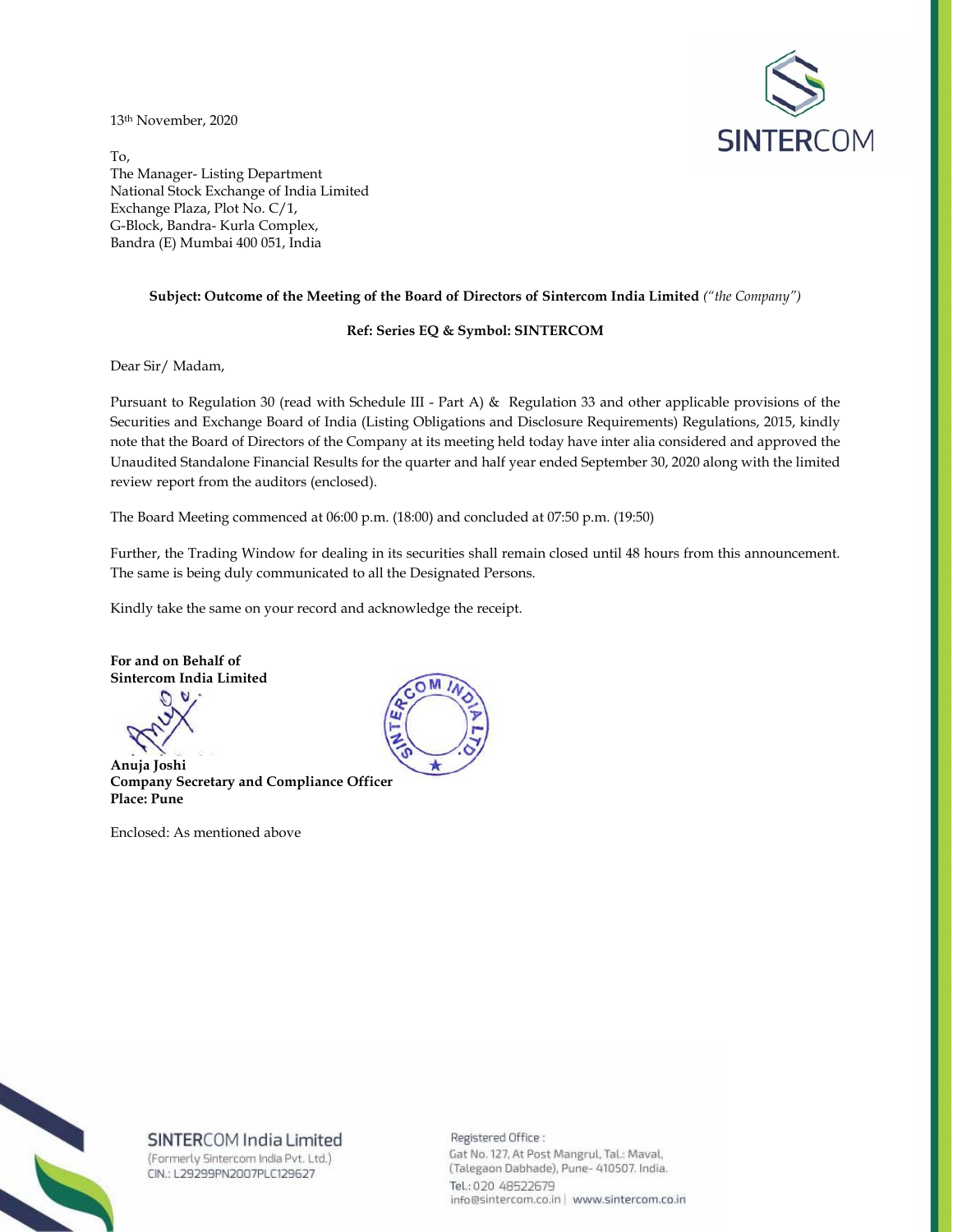13th November, 2020



To, The Manager- Listing Department National Stock Exchange of India Limited Exchange Plaza, Plot No. C/1, G-Block, Bandra- Kurla Complex, Bandra (E) Mumbai 400 051, India

### **Subject: Outcome of the Meeting of the Board of Directors of Sintercom India Limited** *("the Company")*

### **Ref: Series EQ & Symbol: SINTERCOM**

Dear Sir/ Madam,

Pursuant to Regulation 30 (read with Schedule III - Part A) & Regulation 33 and other applicable provisions of the Securities and Exchange Board of India (Listing Obligations and Disclosure Requirements) Regulations, 2015, kindly note that the Board of Directors of the Company at its meeting held today have inter alia considered and approved the Unaudited Standalone Financial Results for the quarter and half year ended September 30, 2020 along with the limited review report from the auditors (enclosed).

The Board Meeting commenced at 06:00 p.m. (18:00) and concluded at 07:50 p.m. (19:50)

Further, the Trading Window for dealing in its securities shall remain closed until 48 hours from this announcement. The same is being duly communicated to all the Designated Persons.

Kindly take the same on your record and acknowledge the receipt.

**For and on Behalf of Sintercom India Limited** 

**Anuja Joshi Company Secretary and Compliance Officer Place: Pune** 

Enclosed: As mentioned above





# SINTERCOM India Limited

(Formerly Sintercom India Pvt. Ltd.) CIN.: L29299PN2007PLC129627

Registered Office: Gat No. 127, At Post Mangrul, Tal.: Maval, (Talegaon Dabhade), Pune- 410507. India. Tel.: 020 48522679 info@sintercom.co.in | www.sintercom.co.in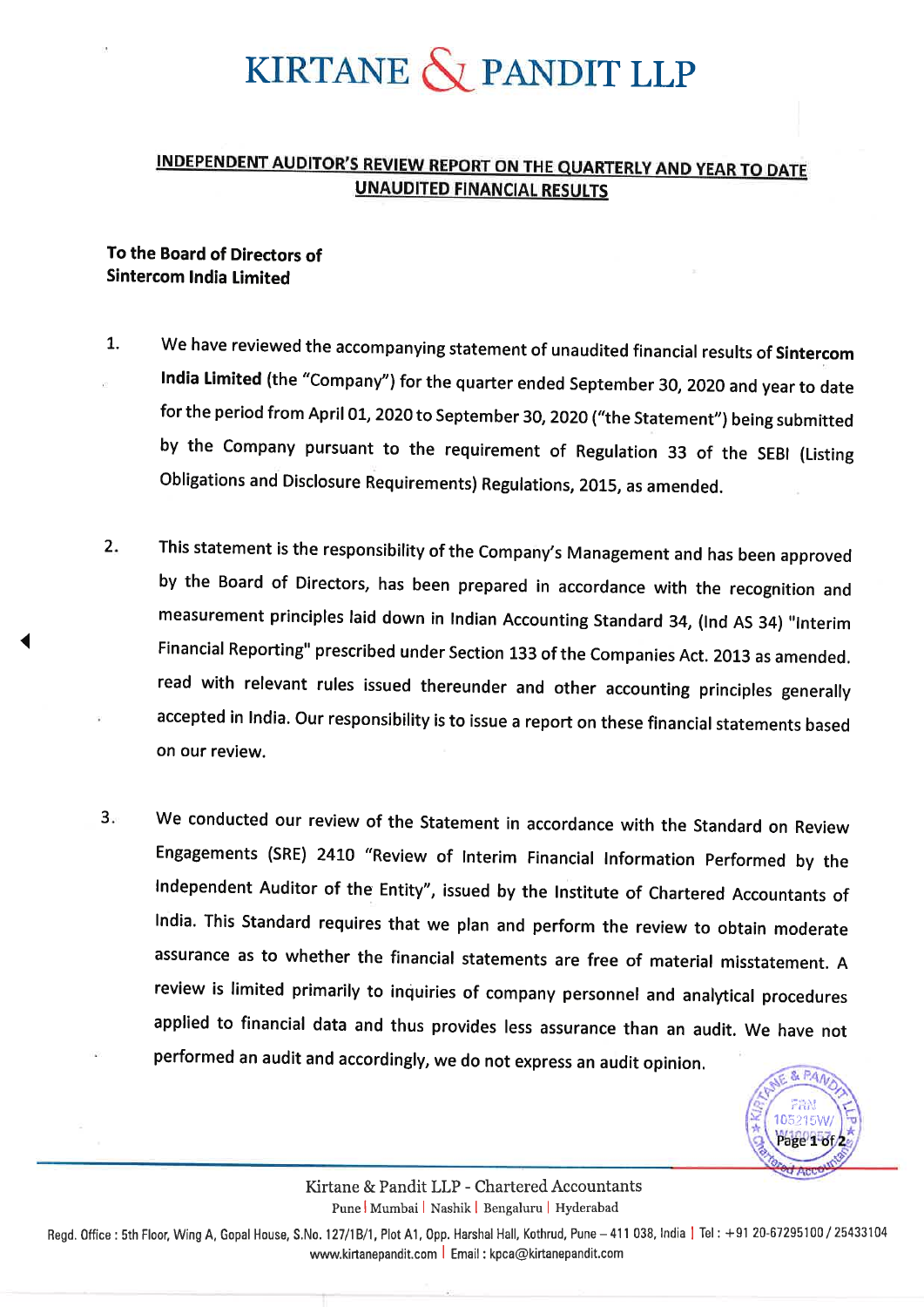# KIRTANE  $\bigotimes$  PANDIT LLP

# **INDEPENDENT AUDITOR'S REVIEW REPORT ON THE QUARTERLY AND YEAR TO DATE UNAUDITED FINANCIAL RESULTS**

# To the Board of Directors of **Sintercom India Limited**

- We have reviewed the accompanying statement of unaudited financial results of Sintercom  $\mathbf{1}$ India Limited (the "Company") for the quarter ended September 30, 2020 and year to date for the period from April 01, 2020 to September 30, 2020 ("the Statement") being submitted by the Company pursuant to the requirement of Regulation 33 of the SEBI (Listing Obligations and Disclosure Requirements) Regulations, 2015, as amended.
- This statement is the responsibility of the Company's Management and has been approved  $2.$ by the Board of Directors, has been prepared in accordance with the recognition and measurement principles laid down in Indian Accounting Standard 34, (Ind AS 34) "Interim Financial Reporting" prescribed under Section 133 of the Companies Act. 2013 as amended. read with relevant rules issued thereunder and other accounting principles generally accepted in India. Our responsibility is to issue a report on these financial statements based on our review.
- We conducted our review of the Statement in accordance with the Standard on Review  $3.$ Engagements (SRE) 2410 "Review of Interim Financial Information Performed by the Independent Auditor of the Entity", issued by the Institute of Chartered Accountants of India. This Standard requires that we plan and perform the review to obtain moderate assurance as to whether the financial statements are free of material misstatement. A review is limited primarily to inquiries of company personnel and analytical procedures applied to financial data and thus provides less assurance than an audit. We have not performed an audit and accordingly, we do not express an audit opinion.



Kirtane & Pandit LLP - Chartered Accountants Pune Mumbai | Nashik | Bengaluru | Hyderabad

Regd. Office: 5th Floor, Wing A, Gopal House, S.No. 127/1B/1, Plot A1, Opp. Harshal Hall, Kothrud, Pune - 411 038, India | Tel: +91 20-67295100 / 25433104 www.kirtanepandit.com | Email: kpca@kirtanepandit.com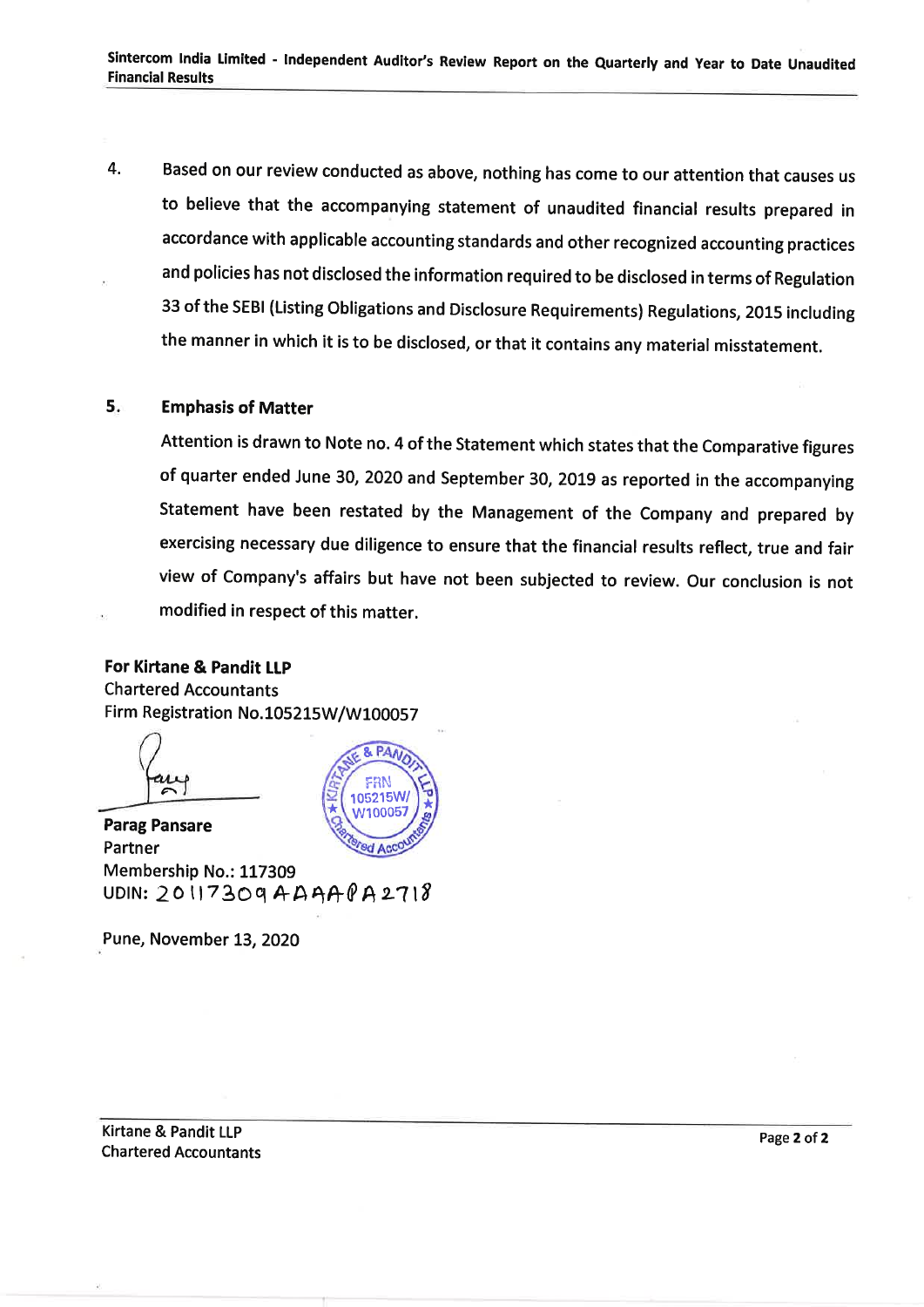Based on our review conducted as above, nothing has come to our attention that causes us  $\overline{4}$ . to believe that the accompanying statement of unaudited financial results prepared in accordance with applicable accounting standards and other recognized accounting practices and policies has not disclosed the information required to be disclosed in terms of Regulation 33 of the SEBI (Listing Obligations and Disclosure Requirements) Regulations, 2015 including the manner in which it is to be disclosed, or that it contains any material misstatement.

#### $5.$ **Emphasis of Matter**

Attention is drawn to Note no. 4 of the Statement which states that the Comparative figures of quarter ended June 30, 2020 and September 30, 2019 as reported in the accompanying Statement have been restated by the Management of the Company and prepared by exercising necessary due diligence to ensure that the financial results reflect, true and fair view of Company's affairs but have not been subjected to review. Our conclusion is not modified in respect of this matter.

# For Kirtane & Pandit LLP **Chartered Accountants** Firm Registration No.105215W/W100057



**Parag Pansare** Partner Membership No.: 117309 UDIN:  $2017309$ AAAA $9$ A2718

Pune, November 13, 2020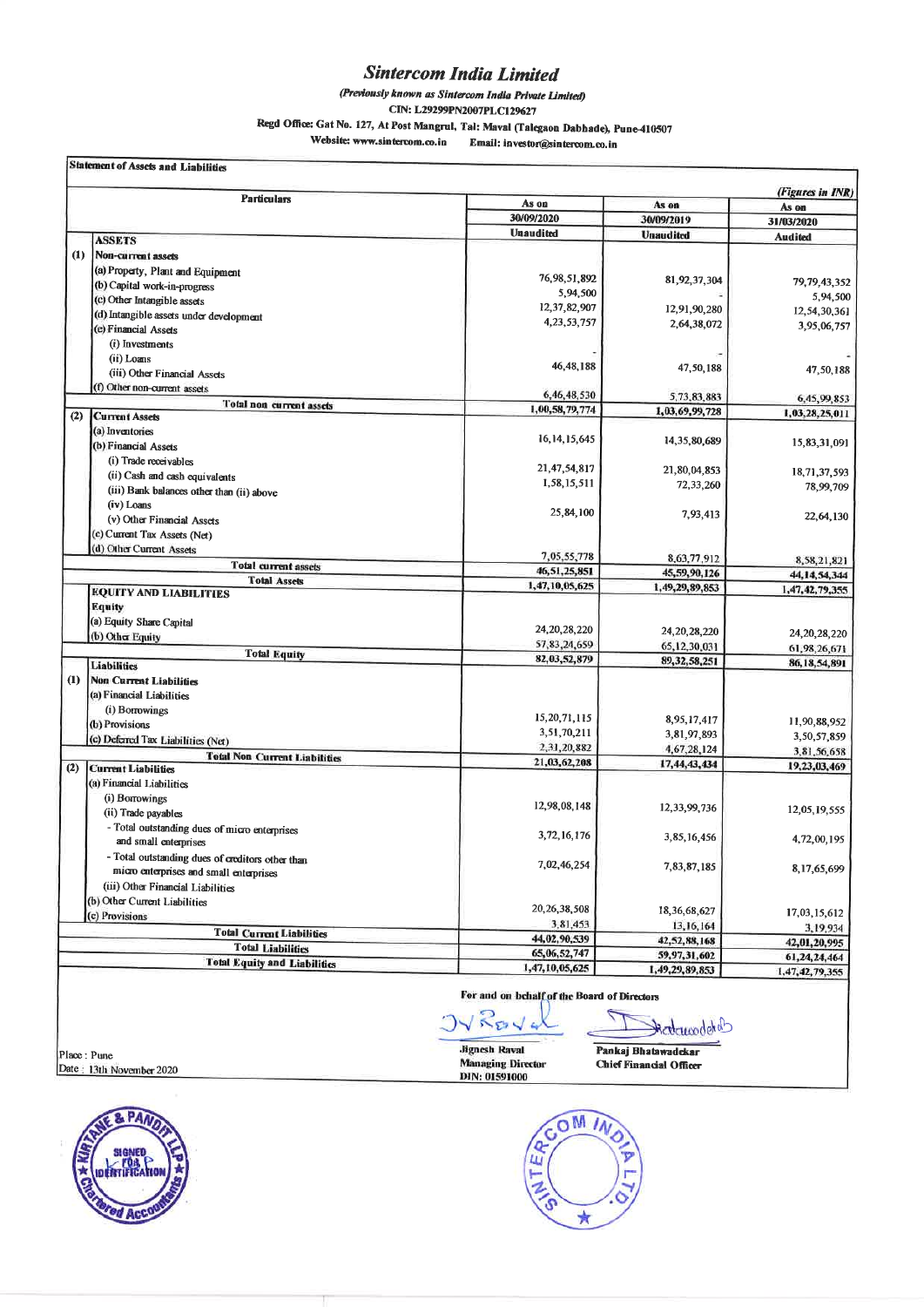# **Sintercom India Limited**

(Previously known as Sintercom India Private Limited)

CIN: L29299PN2007PLC129627

Regd Office: Gat No. 127, At Post Mangrul, Tal: Maval (Talegaon Dabhade), Pune-410507

Website: www.sintercom.co.in Email: investor@sintercom.co.in

|  | <b>Statement of Assets and Liabilities</b> |  |
|--|--------------------------------------------|--|
|  |                                            |  |

|     | <b>Particulars</b>                                                                          |                  |                  | (Figures in INR) |
|-----|---------------------------------------------------------------------------------------------|------------------|------------------|------------------|
|     |                                                                                             | As on            | As on            | As on            |
|     |                                                                                             | 30/09/2020       | 30/09/2019       | 31/03/2020       |
|     | <b>ASSETS</b>                                                                               | <b>Unaudited</b> | <b>Unaudited</b> | <b>Audited</b>   |
| (1) | Non-current assets                                                                          |                  |                  |                  |
|     | (a) Property, Plant and Equipment                                                           |                  |                  |                  |
|     | (b) Capital work-in-progress                                                                | 76, 98, 51, 892  | 81,92,37,304     | 79, 79, 43, 352  |
|     | (c) Other Intangible assets                                                                 | 5,94,500         |                  | 5,94,500         |
|     | (d) Intangible assets under development                                                     | 12,37,82,907     | 12,91,90,280     | 12,54,30,361     |
|     | (e) Financial Assets                                                                        | 4, 23, 53, 757   | 2,64,38,072      | 3,95,06,757      |
|     | (i) Investments                                                                             |                  |                  |                  |
|     | (ii) Loans                                                                                  |                  |                  |                  |
|     | (iii) Other Financial Assets                                                                | 46, 48, 188      | 47,50,188        | 47,50,188        |
|     | (f) Other non-current assets                                                                |                  |                  |                  |
|     |                                                                                             | 6,46,48,530      | 5,73,83,883      | 6,45,99,853      |
| (2) | Total non current assets<br><b>Current Assets</b>                                           | 1,00,58,79,774   | 1,03,69,99,728   | 1,03,28,25,011   |
|     | (a) Inventories                                                                             |                  |                  |                  |
|     | (b) Financial Assets                                                                        | 16, 14, 15, 645  | 14, 35, 80, 689  | 15,83,31,091     |
|     | (i) Trade receivables                                                                       |                  |                  |                  |
|     |                                                                                             | 21,47,54,817     | 21,80,04,853     | 18,71,37,593     |
|     | (ii) Cash and cash equivalents                                                              | 1,58,15,511      | 72,33,260        | 78,99,709        |
|     | (iii) Bank balances other than (ii) above<br>(iv) Loans                                     |                  |                  |                  |
|     | (v) Other Financial Assets                                                                  | 25,84,100        | 7,93,413         | 22,64,130        |
|     |                                                                                             |                  |                  |                  |
|     | (c) Current Tax Assets (Net)<br>(d) Other Current Assets                                    |                  |                  |                  |
|     |                                                                                             | 7,05,55,778      | 8,63,77,912      | 8,58,21,821      |
|     | <b>Total current assets</b>                                                                 | 46,51,25,851     | 45,59,90,126     | 44, 14, 54, 344  |
|     | <b>Total Assets</b><br><b>EQUITY AND LIABILITIES</b>                                        | 1,47,10,05,625   | 1,49,29,89,853   | 1,47,42,79,355   |
|     | <b>Equity</b>                                                                               |                  |                  |                  |
|     | (a) Equity Share Capital                                                                    |                  |                  |                  |
|     | (b) Other Equity                                                                            | 24, 20, 28, 220  | 24, 20, 28, 220  | 24, 20, 28, 220  |
|     |                                                                                             | 57,83,24,659     | 65, 12, 30, 031  | 61,98,26,671     |
|     | <b>Total Equity</b><br><b>Liabilities</b>                                                   | 82,03,52,879     | 89, 32, 58, 251  | 86, 18, 54, 891  |
| (1) | <b>Non Current Liabilities</b>                                                              |                  |                  |                  |
|     | (a) Financial Liabilities                                                                   |                  |                  |                  |
|     | (i) Borrowings                                                                              |                  |                  |                  |
|     | (b) Provisions                                                                              | 15, 20, 71, 115  | 8,95,17,417      | 11,90,88,952     |
|     | (c) Deferred Tax Liabilities (Net)                                                          | 3,51,70,211      | 3,81,97,893      | 3,50,57,859      |
|     |                                                                                             | 2,31,20,882      | 4,67,28,124      | 3,81,56,658      |
| (2) | <b>Total Non Current Liabilities</b><br><b>Current Liabilities</b>                          | 21,03,62,208     | 17,44,43,434     | 19,23,03,469     |
|     | (a) Financial Liabilities                                                                   |                  |                  |                  |
|     | (i) Borrowings                                                                              |                  |                  |                  |
|     | (ii) Trade payables                                                                         | 12,98,08,148     | 12, 33, 99, 736  | 12,05,19,555     |
|     | - Total outstanding dues of micro enterprises                                               |                  |                  |                  |
|     | and small enterprises                                                                       | 3, 72, 16, 176   | 3,85,16,456      | 4,72,00,195      |
|     |                                                                                             |                  |                  |                  |
|     | - Total outstanding dues of creditors other than<br>micro enterprises and small enterprises | 7,02,46,254      | 7,83,87,185      | 8,17,65,699      |
|     | (iii) Other Financial Liabilities                                                           |                  |                  |                  |
|     | (b) Other Current Liabilities                                                               |                  |                  |                  |
|     | (c) Provisions                                                                              | 20, 26, 38, 508  | 18,36,68,627     | 17,03,15,612     |
|     |                                                                                             | 3,81,453         | 13, 16, 164      | 3,19,934         |
|     | <b>Total Current Liabilities</b>                                                            | 44,02,90,539     | 42,52,88,168     | 42,01,20,995     |
|     | <b>Total Liabilities</b>                                                                    | 65,06,52,747     | 59,97,31,602     | 61,24,24,464     |
|     | <b>Total Equity and Liabilities</b>                                                         | 1,47,10,05,625   | 1,49,29,89,853   | 1,47,42,79,355   |

# For and on behalf of the Board of Directors

Place: Pune<br>Date: 13th November 2020





Э

Pankaj Bhatawadckar **Chief Financial Officer** 

Rederrodetab

۲

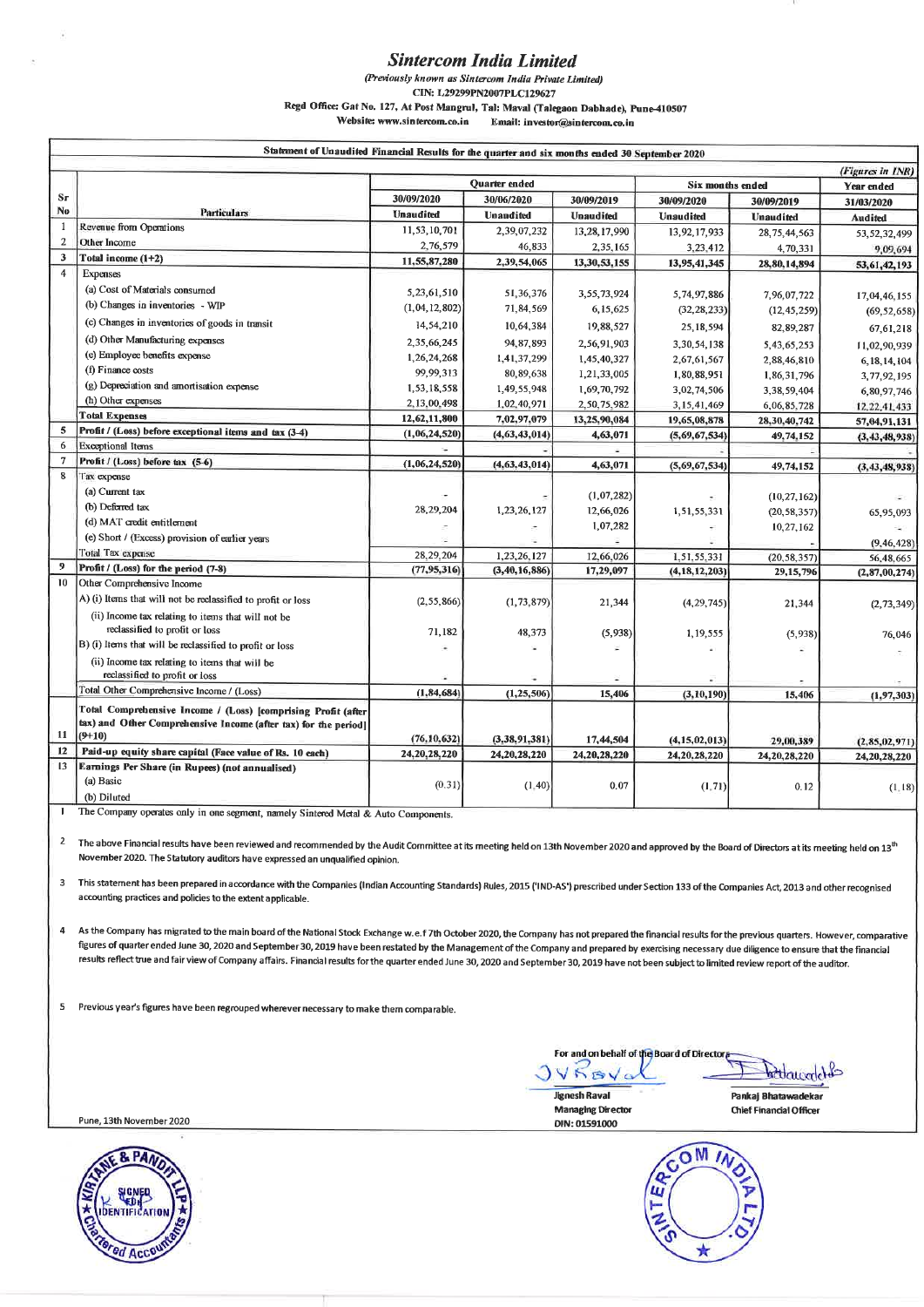# **Sintercom India Limited**

(Previously known as Sintercom India Private Limited)

CIN: L29299PN2007PLC129627

Regd Office: Gat No. 127, At Post Mangrul, Tal: Maval (Talegaon Dabhade), Pune-410507

Website: www.sintercom.co.in Email: investor@sintercom.co.in

|                | Statement of Unaudited Financial Results for the quarter and six months ended 30 September 2020 |                  |                  |                  |                  |                  |                  |
|----------------|-------------------------------------------------------------------------------------------------|------------------|------------------|------------------|------------------|------------------|------------------|
|                |                                                                                                 |                  |                  |                  |                  |                  | (Figures in INR) |
|                |                                                                                                 | Quarter ended    |                  | Six months ended |                  | Year ended       |                  |
| $S_{\Gamma}$   |                                                                                                 | 30/09/2020       | 30/06/2020       | 30/09/2019       | 30/09/2020       | 30/09/2019       | 31/03/2020       |
| No.            | <b>Particulars</b>                                                                              | <b>Unaudited</b> | <b>Unaudited</b> | <b>Unaudited</b> | <b>Unaudited</b> | <b>Unaudited</b> | <b>Audited</b>   |
| -1             | Revenue from Operations                                                                         | 11,53,10,701     | 2,39,07,232      | 13,28,17,990     | 13,92,17,933     | 28, 75, 44, 563  | 53, 52, 32, 499  |
| $\overline{2}$ | Other Incorne                                                                                   | 2,76,579         | 46,833           | 2,35,165         | 3,23,412         | 4,70,331         | 9,09,694         |
| $\mathbf{3}$   | Total income (1+2)                                                                              | 11,55,87,280     | 2,39,54,065      | 13,30,53,155     | 13,95,41,345     | 28, 80, 14, 894  | 53,61,42,193     |
| $\overline{4}$ | Expenses                                                                                        |                  |                  |                  |                  |                  |                  |
|                | (a) Cost of Materials consumed                                                                  | 5,23,61,510      | 51,36,376        | 3,55,73,924      | 5,74,97,886      | 7,96,07,722      | 17,04,46,155     |
|                | (b) Changes in inventories - WIP                                                                | (1,04,12,802)    | 71,84,569        | 6,15,625         | (32, 28, 233)    | (12, 45, 259)    | (69, 52, 658)    |
|                | (c) Changes in inventories of goods in transit                                                  | 14,54,210        | 10,64,384        | 19,88,527        | 25, 18, 594      | 82, 89, 287      | 67, 61, 218      |
|                | (d) Other Manufacturing expenses                                                                | 2,35,66,245      | 94, 87, 893      | 2,56,91,903      | 3,30,54,138      | 5,43,65,253      | 11,02,90,939     |
|                | (e) Employee benefits expense                                                                   | 1,26,24,268      | 1,41,37,299      | 1,45,40,327      | 2,67,61,567      | 2,88,46,810      | 6, 18, 14, 104   |
|                | (f) Finance costs                                                                               | 99,99,313        | 80, 89, 638      | 1,21,33,005      | 1,80,88,951      | 1,86,31,796      | 3,77,92,195      |
|                | (g) Depreciation and amortisation expense                                                       | 1,53,18,558      | 1,49,55,948      | 1,69,70,792      | 3,02,74,506      | 3,38,59,404      | 6,80,97,746      |
|                | (h) Other expenses                                                                              | 2,13,00,498      | 1,02,40,971      | 2,50,75,982      | 3,15,41,469      | 6,06,85,728      | 12, 22, 41, 433  |
|                | <b>Total Expenses</b>                                                                           | 12,62,11,800     | 7,02,97,079      | 13,25,90,084     | 19,65,08,878     | 28,30,40,742     | 57, 04, 91, 131  |
| 5              | Profit / (Loss) before exceptional items and tax (3-4)                                          | (1,06,24,520)    | (4, 63, 43, 014) | 4,63,071         | (5,69,67,534)    | 49,74,152        | (3, 43, 48, 938) |
| 6              | <b>Exceptional Items</b>                                                                        |                  |                  |                  |                  |                  |                  |
| $\tau$         | Profit / (Loss) before tax (5-6)                                                                | (1,06,24,520)    | (4, 63, 43, 014) | 4,63,071         | (5,69,67,534)    | 49,74,152        | (3, 43, 48, 938) |
| $\bf{8}$       | Tax expense                                                                                     |                  |                  |                  |                  |                  |                  |
|                | (a) Current tax                                                                                 |                  |                  | (1,07,282)       |                  | (10, 27, 162)    |                  |
|                | (b) Deferred tax                                                                                | 28, 29, 204      | 1,23,26,127      | 12,66,026        | 1,51,55,331      | (20, 58, 357)    | 65,95,093        |
|                | (d) MAT credit entitlement                                                                      |                  |                  | 1,07,282         |                  | 10,27,162        |                  |
|                | (e) Short / (Excess) provision of earlier years                                                 |                  |                  |                  |                  |                  | (9, 46, 428)     |
|                | Total Tax expense                                                                               | 28,29,204        | 1,23,26,127      | 12,66,026        | 1,51,55,331      | (20, 58, 357)    | 56,48,665        |
| 9              | Profit / (Loss) for the period (7-8)                                                            | (77, 95, 316)    | (3, 40, 16, 886) | 17,29,097        | (4, 18, 12, 203) | 29,15,796        | (2, 87, 00, 274) |
| 10             | Other Comprehensive Income                                                                      |                  |                  |                  |                  |                  |                  |
|                | A) (i) Items that will not be reclassified to profit or loss                                    | (2, 55, 866)     | (1, 73, 879)     | 21,344           | (4, 29, 745)     | 21,344           | (2, 73, 349)     |
|                | (ii) Income tax relating to items that will not be                                              |                  |                  |                  |                  |                  |                  |
|                | reclassified to profit or loss                                                                  | 71,182           | 48,373           | (5,938)          | 1, 19, 555       | (5,938)          | 76,046           |
|                | B) (i) Items that will be reclassified to profit or loss                                        |                  |                  |                  |                  |                  |                  |
|                | (ii) Income tax relating to items that will be<br>reclassified to profit or loss                |                  |                  |                  |                  |                  |                  |
|                | Total Other Comprehensive Income / (Loss)                                                       |                  |                  |                  |                  |                  |                  |
|                |                                                                                                 | (1, 84, 684)     | (1, 25, 506)     | 15,406           | (3, 10, 190)     | 15,406           | (1, 97, 303)     |
|                | Total Comprehensive Income / (Loss) [comprising Profit (after                                   |                  |                  |                  |                  |                  |                  |
| 11             | tax) and Other Comprehensive Income (after tax) for the period]<br>$(9+10)$                     |                  |                  |                  |                  |                  |                  |
| 12             | Paid-up equity share capital (Face value of Rs. 10 each)                                        | (76, 10, 632)    | (3, 38, 91, 381) | 17,44,504        | (4, 15, 02, 013) | 29,00,389        | (2, 85, 02, 971) |
| 13             | Earnings Per Share (in Rupees) (not annualised)                                                 | 24, 20, 28, 220  | 24, 20, 28, 220  | 24, 20, 28, 220  | 24, 20, 28, 220  | 24, 20, 28, 220  | 24, 20, 28, 220  |
|                | (a) Basic                                                                                       |                  |                  |                  |                  |                  |                  |
|                | (b) Diluted                                                                                     | (0.31)           | (1, 40)          | 0.07             | (1, 71)          | 0.12             | (1, 18)          |
|                |                                                                                                 |                  |                  |                  |                  |                  |                  |

The Company operates only in one segment, namely Sintered Metal & Auto Components.  $\overline{\phantom{a}}$ 

 $\overline{\mathbf{c}}$ The above Financial results have been reviewed and recommended by the Audit Committee at its meeting held on 13th November 2020 and approved by the Board of Directors at its meeting held on 13<sup>th</sup> November 2020. The Statutory auditors have expressed an unqualified opinion.

This statement has been prepared in accordance with the Companies (Indian Accounting Standards) Rules, 2015 ('IND-AS') prescribed under Section 133 of the Companies Act, 2013 and other recognised  $\overline{\mathbf{3}}$ accounting practices and policies to the extent applicable.

As the Company has migrated to the main board of the National Stock Exchange w.e.f 7th October 2020, the Company has not prepared the financial results for the previous quarters. However, comparative  $\overline{4}$ figures of quarter ended June 30, 2020 and September 30, 2019 have been restated by the Management of the Company and prepared by exercising necessary due diligence to ensure that the financial results reflect true and fair view of Company affairs. Financial results for the quarter ended June 30, 2020 and September 30, 2019 have not been subject to limited review report of the auditor.

Previous year's figures have been regrouped wherever necessary to make them comparable. 5

For and on behalf of the Board of Directo  $JVSBV<sub>o</sub>$ 

bedaucaclet

**Jignesh Raval Managing Director** DIN: 01591000

Pankaj Bhatawadekar **Chief Financial Officer** 



Pune, 13th November 2020